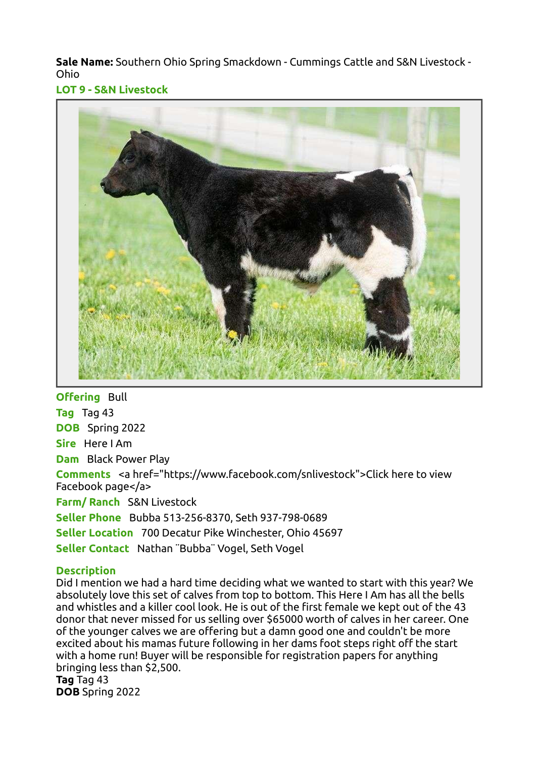Sale Name: Southern Ohio Spring Smackdown - Cummings Cattle and S&N Livestock - Ohio

LOT 9 - S&N Livestock



**Offering Bull** Tag Tag 43 DOB Spring 2022 Sire Here I Am Dam Black Power Play Comments <a href="https://www.facebook.com/snlivestock">Click here to view Facebook page</a> Farm/ Ranch S&N Livestock Seller Phone Bubba 513-256-8370, Seth 937-798-0689 Seller Location 700 Decatur Pike Winchester, Ohio 45697 Seller Contact Nathan ¨Bubba¨ Vogel, Seth Vogel

## **Description**

Did I mention we had a hard time deciding what we wanted to start with this year? We absolutely love this set of calves from top to bottom. This Here I Am has all the bells and whistles and a killer cool look. He is out of the first female we kept out of the 43 donor that never missed for us selling over \$65000 worth of calves in her career. One of the younger calves we are offering but a damn good one and couldn't be more excited about his mamas future following in her dams foot steps right off the start with a home run! Buyer will be responsible for registration papers for anything bringing less than \$2,500. Tag Tag 43 DOB Spring 2022